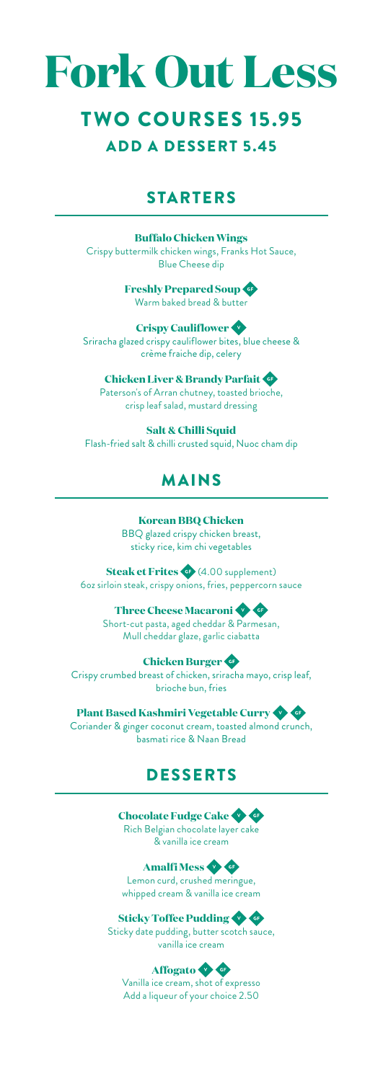# **Fork Out Less**

### **TWO COURSES 15.95** ADD A DESSERT 5.45

#### STARTERS

**Buffalo Chicken Wings** Crispy buttermilk chicken wings, Franks Hot Sauce, Blue Cheese dip

> **Freshly Prepared Soup** Warm baked bread & butter

**Crispy Cauliflower** Sriracha glazed crispy cauliflower bites, blue cheese & crème fraiche dip, celery

**Chicken Liver & Brandy Parfait** Paterson's of Arran chutney, toasted brioche, crisp leaf salad, mustard dressing

**Salt & Chilli Squid** Flash-fried salt & chilli crusted squid, Nuoc cham dip

#### MAINS

**Korean BBQ Chicken** BBQ glazed crispy chicken breast, sticky rice, kim chi vegetables

**Steak et Frites** (4.00 supplement) 6oz sirloin steak, crispy onions, fries, peppercorn sauce

**Three Cheese Macaroni** Short-cut pasta, aged cheddar & Parmesan, Mull cheddar glaze, garlic ciabatta

**Chicken Burger** Crispy crumbed breast of chicken, sriracha mayo, crisp leaf, brioche bun, fries

**Plant Based Kashmiri Vegetable Curry** Coriander & ginger coconut cream, toasted almond crunch, basmati rice & Naan Bread

#### DESSERTS

**Chocolate Fudge Cake** Rich Belgian chocolate layer cake & vanilla ice cream

**Amalfi Mess** Lemon curd, crushed meringue, whipped cream & vanilla ice cream

**Sticky Toffee Pudding** Sticky date pudding, butter scotch sauce, vanilla ice cream

**Affogato** Vanilla ice cream, shot of expresso Add a liqueur of your choice 2.50